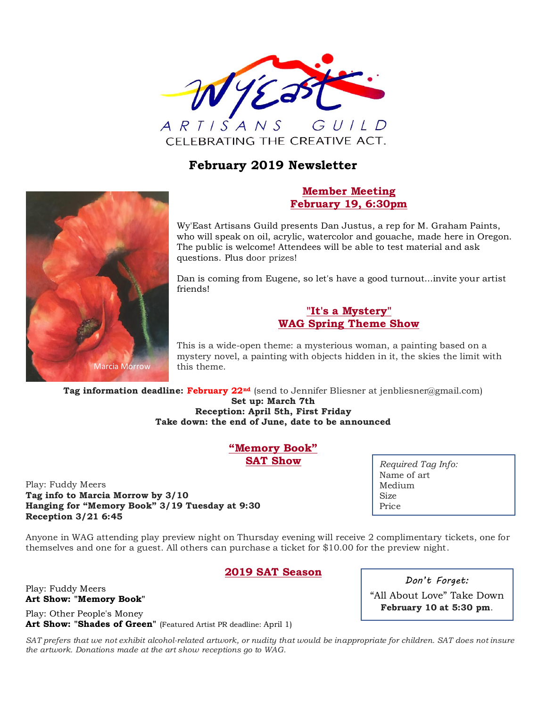

# **February 2019 Newsletter**



# **Member Meeting February 19, 6:30pm**

Wy'East Artisans Guild presents Dan Justus, a rep for M. Graham Paints, who will speak on oil, acrylic, watercolor and gouache, made here in Oregon. The public is welcome! Attendees will be able to test material and ask questions. Plus door prizes!

Dan is coming from Eugene, so let's have a good turnout...invite your artist friends!

# **"It's a Mystery" WAG Spring Theme Show**

This is a wide-open theme: a mysterious woman, a painting based on a mystery novel, a painting with objects hidden in it, the skies the limit with this theme.

**Tag information deadline: February 22nd** (send to Jennifer Bliesner at jenbliesner@gmail.com) **Set up: March 7th Reception: April 5th, First Friday**

**Take down: the end of June, date to be announced**

**"Memory Book" SAT Show**

Play: Fuddy Meers **Tag info to Marcia Morrow by 3/10 Hanging for "Memory Book" 3/19 Tuesday at 9:30 Reception 3/21 6:45**

*Required Tag Info:* Name of art Medium Size Price

Anyone in WAG attending play preview night on Thursday evening will receive 2 complimentary tickets, one for themselves and one for a guest. All others can purchase a ticket for \$10.00 for the preview night.

# **2019 SAT Season**

Play: Fuddy Meers **Art Show: "Memory Book"** Play: Other People's Money

**Art Show: "Shades of Green"** (Featured Artist PR deadline: April 1)

SAT prefers that we not exhibit alcohol-related artwork, or nudity that would be inappropriate for children. SAT does not insure *the artwork. Donations made at the art show receptions go to WAG.*

*Don't Forget:*

"All About Love" Take Down **February 10 at 5:30 pm**.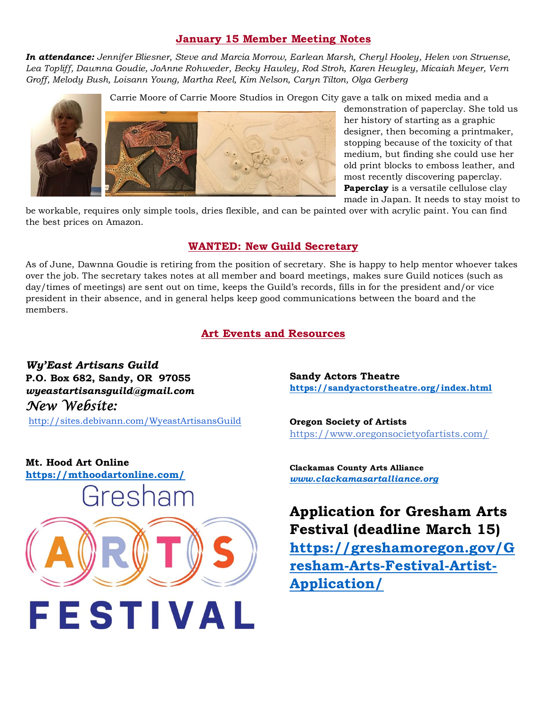### **January 15 Member Meeting Notes**

*In attendance: Jennifer Bliesner, Steve and Marcia Morrow, Earlean Marsh, Cheryl Hooley, Helen von Struense, Lea Topliff, Dawnna Goudie, JoAnne Rohweder, Becky Hawley, Rod Stroh, Karen Hewgley, Micaiah Meyer, Vern Groff, Melody Bush, Loisann Young, Martha Reel, Kim Nelson, Caryn Tilton, Olga Gerberg*

Carrie Moore of Carrie Moore Studios in Oregon City gave a talk on mixed media and a



demonstration of paperclay. She told us her history of starting as a graphic designer, then becoming a printmaker, stopping because of the toxicity of that medium, but finding she could use her old print blocks to emboss leather, and most recently discovering paperclay. **Paperclay** is a versatile cellulose clay made in Japan. It needs to stay moist to

be workable, requires only simple tools, dries flexible, and can be painted over with acrylic paint. You can find the best prices on Amazon.

#### **WANTED: New Guild Secretary**

As of June, Dawnna Goudie is retiring from the position of secretary. She is happy to help mentor whoever takes over the job. The secretary takes notes at all member and board meetings, makes sure Guild notices (such as day/times of meetings) are sent out on time, keeps the Guild's records, fills in for the president and/or vice president in their absence, and in general helps keep good communications between the board and the members.

# **Art Events and Resources**

*Wy'East Artisans Guild* **P.O. Box 682, Sandy, OR 97055** *wyeastartisansguild@gmail.com New Website:* 

<http://sites.debivann.com/WyeastArtisansGuild>

**Sandy Actors Theatre <https://sandyactorstheatre.org/index.html>**

**Oregon Society of Artists** <https://www.oregonsocietyofartists.com/>

**Mt. Hood Art Online <https://mthoodartonline.com/>**



**Clackamas County Arts Alliance** *[www.clackamasartalliance.org](http://www.clackamasartalliance.org/)*

**Application for Gresham Arts Festival (deadline March 15) [https://greshamoregon.gov/G](https://greshamoregon.gov/Gresham-Arts-Festival-Artist-Application/) [resham-Arts-Festival-Artist-](https://greshamoregon.gov/Gresham-Arts-Festival-Artist-Application/)[Application/](https://greshamoregon.gov/Gresham-Arts-Festival-Artist-Application/)**